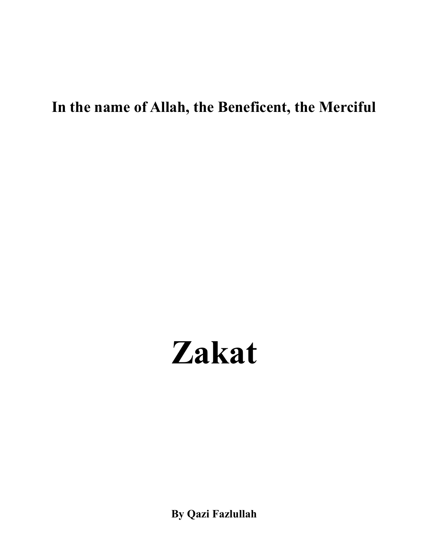# **In the name of Allah, the Beneficent, the Merciful**

# **Zakat**

**By Qazi Fazlullah**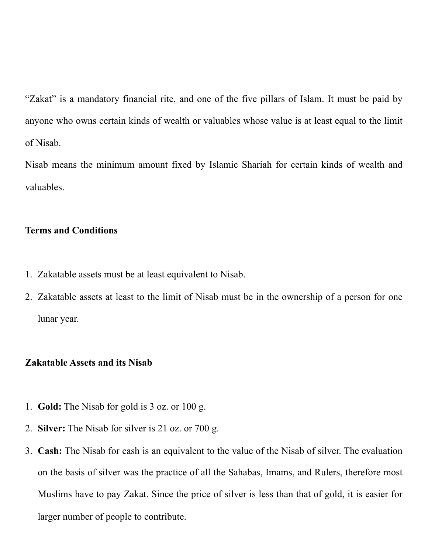"Zakat" is a mandatory financial rite, and one of the five pillars of Islam. It must be paid by anyone who owns certain kinds of wealth or valuables whose value is at least equal to the limit of Nisab.

Nisab means the minimum amount fixed by Islamic Shariah for certain kinds of wealth and valuables.

## **Terms and Conditions**

- 1. Zakatable assets must be at least equivalent to Nisab.
- 2. Zakatable assets at least to the limit of Nisab must be in the ownership of a person for one lunar year.

### **Zakatable Assets and its Nisab**

- 1. **Gold:** The Nisab for gold is 3 oz. or 100 g.
- 2. **Silver:** The Nisab for silver is 21 oz. or 700 g.
- 3. **Cash:** The Nisab for cash is an equivalent to the value of the Nisab of silver. The evaluation on the basis of silver was the practice of all the Sahabas, Imams, and Rulers, therefore most Muslims have to pay Zakat. Since the price of silver is less than that of gold, it is easier for larger number of people to contribute.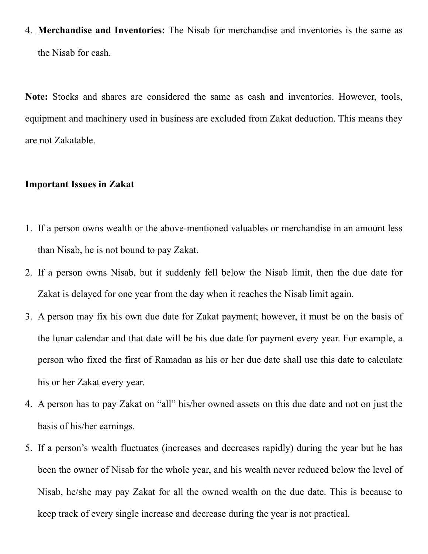4. **Merchandise and Inventories:** The Nisab for merchandise and inventories is the same as the Nisab for cash.

**Note:** Stocks and shares are considered the same as cash and inventories. However, tools, equipment and machinery used in business are excluded from Zakat deduction. This means they are not Zakatable.

### **Important Issues in Zakat**

- 1. If a person owns wealth or the above-mentioned valuables or merchandise in an amount less than Nisab, he is not bound to pay Zakat.
- 2. If a person owns Nisab, but it suddenly fell below the Nisab limit, then the due date for Zakat is delayed for one year from the day when it reaches the Nisab limit again.
- 3. A person may fix his own due date for Zakat payment; however, it must be on the basis of the lunar calendar and that date will be his due date for payment every year. For example, a person who fixed the first of Ramadan as his or her due date shall use this date to calculate his or her Zakat every year.
- 4. A person has to pay Zakat on "all" his/her owned assets on this due date and not on just the basis of his/her earnings.
- 5. If a person's wealth fluctuates (increases and decreases rapidly) during the year but he has been the owner of Nisab for the whole year, and his wealth never reduced below the level of Nisab, he/she may pay Zakat for all the owned wealth on the due date. This is because to keep track of every single increase and decrease during the year is not practical.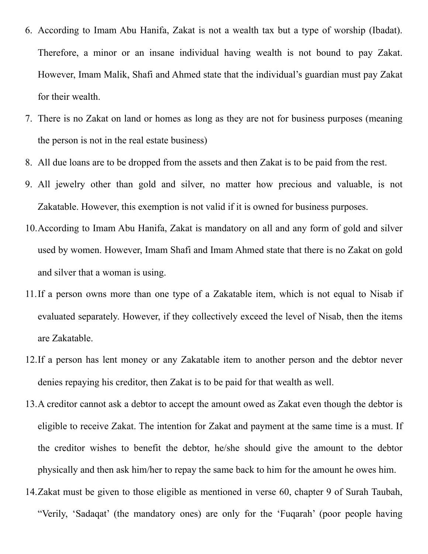- 6. According to Imam Abu Hanifa, Zakat is not a wealth tax but a type of worship (Ibadat). Therefore, a minor or an insane individual having wealth is not bound to pay Zakat. However, Imam Malik, Shafi and Ahmed state that the individual's guardian must pay Zakat for their wealth.
- 7. There is no Zakat on land or homes as long as they are not for business purposes (meaning the person is not in the real estate business)
- 8. All due loans are to be dropped from the assets and then Zakat is to be paid from the rest.
- 9. All jewelry other than gold and silver, no matter how precious and valuable, is not Zakatable. However, this exemption is not valid if it is owned for business purposes.
- 10.According to Imam Abu Hanifa, Zakat is mandatory on all and any form of gold and silver used by women. However, Imam Shafi and Imam Ahmed state that there is no Zakat on gold and silver that a woman is using.
- 11.If a person owns more than one type of a Zakatable item, which is not equal to Nisab if evaluated separately. However, if they collectively exceed the level of Nisab, then the items are Zakatable.
- 12.If a person has lent money or any Zakatable item to another person and the debtor never denies repaying his creditor, then Zakat is to be paid for that wealth as well.
- 13.A creditor cannot ask a debtor to accept the amount owed as Zakat even though the debtor is eligible to receive Zakat. The intention for Zakat and payment at the same time is a must. If the creditor wishes to benefit the debtor, he/she should give the amount to the debtor physically and then ask him/her to repay the same back to him for the amount he owes him.
- 14.Zakat must be given to those eligible as mentioned in verse 60, chapter 9 of Surah Taubah, "Verily, 'Sadaqat' (the mandatory ones) are only for the 'Fuqarah' (poor people having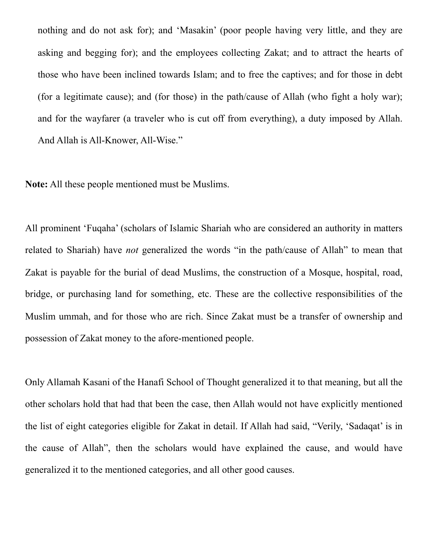nothing and do not ask for); and 'Masakin' (poor people having very little, and they are asking and begging for); and the employees collecting Zakat; and to attract the hearts of those who have been inclined towards Islam; and to free the captives; and for those in debt (for a legitimate cause); and (for those) in the path/cause of Allah (who fight a holy war); and for the wayfarer (a traveler who is cut off from everything), a duty imposed by Allah. And Allah is All-Knower, All-Wise."

**Note:** All these people mentioned must be Muslims.

All prominent 'Fuqaha' (scholars of Islamic Shariah who are considered an authority in matters related to Shariah) have *not* generalized the words "in the path/cause of Allah" to mean that Zakat is payable for the burial of dead Muslims, the construction of a Mosque, hospital, road, bridge, or purchasing land for something, etc. These are the collective responsibilities of the Muslim ummah, and for those who are rich. Since Zakat must be a transfer of ownership and possession of Zakat money to the afore-mentioned people.

Only Allamah Kasani of the Hanafi School of Thought generalized it to that meaning, but all the other scholars hold that had that been the case, then Allah would not have explicitly mentioned the list of eight categories eligible for Zakat in detail. If Allah had said, "Verily, 'Sadaqat' is in the cause of Allah", then the scholars would have explained the cause, and would have generalized it to the mentioned categories, and all other good causes.